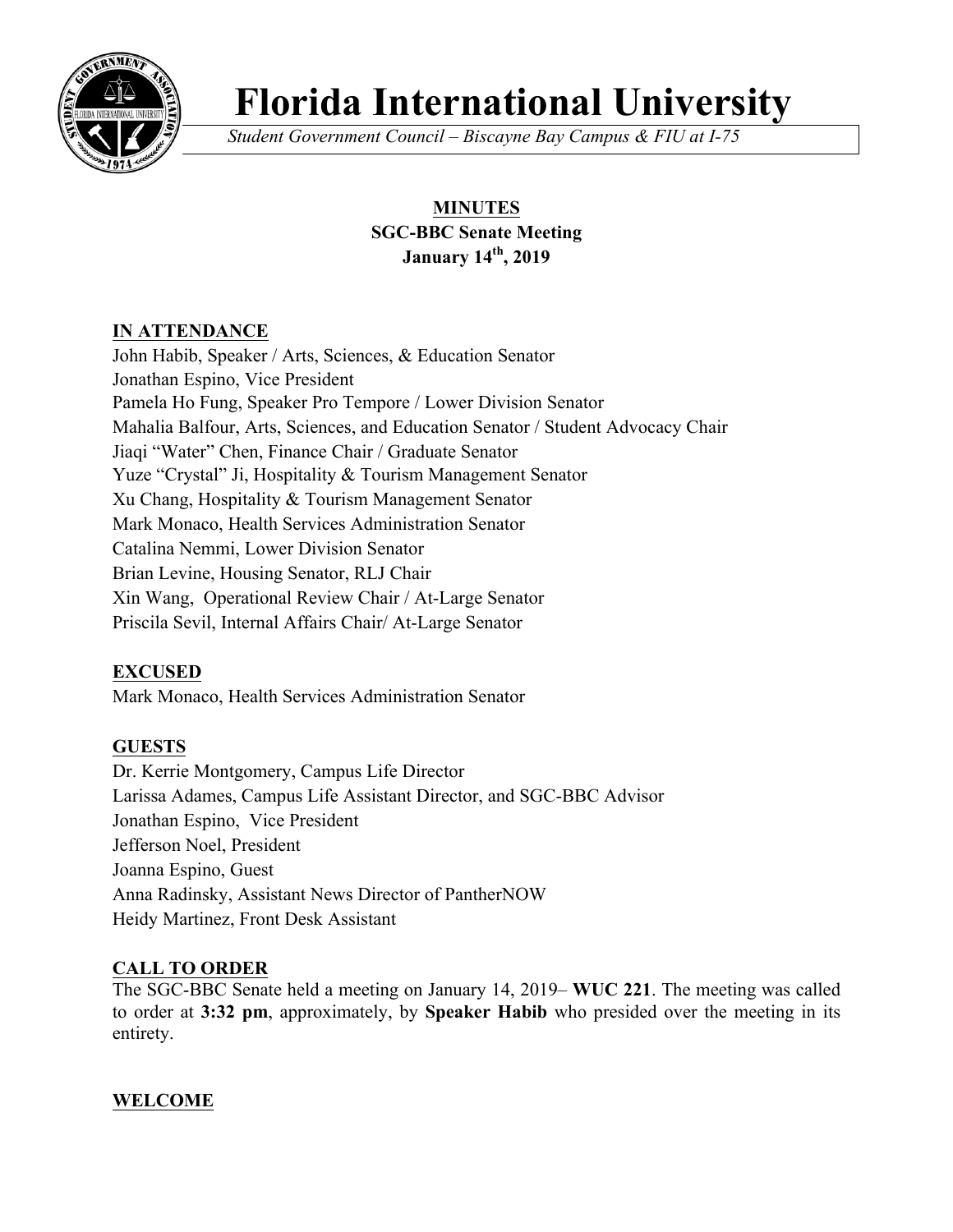

# **Florida International University**

*Student Government Council – Biscayne Bay Campus & FIU at I-75*

# **MINUTES SGC-BBC Senate Meeting January 14th, 2019**

## **IN ATTENDANCE**

John Habib, Speaker / Arts, Sciences, & Education Senator Jonathan Espino, Vice President Pamela Ho Fung, Speaker Pro Tempore / Lower Division Senator Mahalia Balfour, Arts, Sciences, and Education Senator / Student Advocacy Chair Jiaqi "Water" Chen, Finance Chair / Graduate Senator Yuze "Crystal" Ji, Hospitality & Tourism Management Senator Xu Chang, Hospitality & Tourism Management Senator Mark Monaco, Health Services Administration Senator Catalina Nemmi, Lower Division Senator Brian Levine, Housing Senator, RLJ Chair Xin Wang, Operational Review Chair / At-Large Senator Priscila Sevil, Internal Affairs Chair/ At-Large Senator

## **EXCUSED**

Mark Monaco, Health Services Administration Senator

## **GUESTS**

Dr. Kerrie Montgomery, Campus Life Director Larissa Adames, Campus Life Assistant Director, and SGC-BBC Advisor Jonathan Espino, Vice President Jefferson Noel, President Joanna Espino, Guest Anna Radinsky, Assistant News Director of PantherNOW Heidy Martinez, Front Desk Assistant

#### **CALL TO ORDER**

The SGC-BBC Senate held a meeting on January 14, 2019– **WUC 221**. The meeting was called to order at **3:32 pm**, approximately, by **Speaker Habib** who presided over the meeting in its entirety.

#### **WELCOME**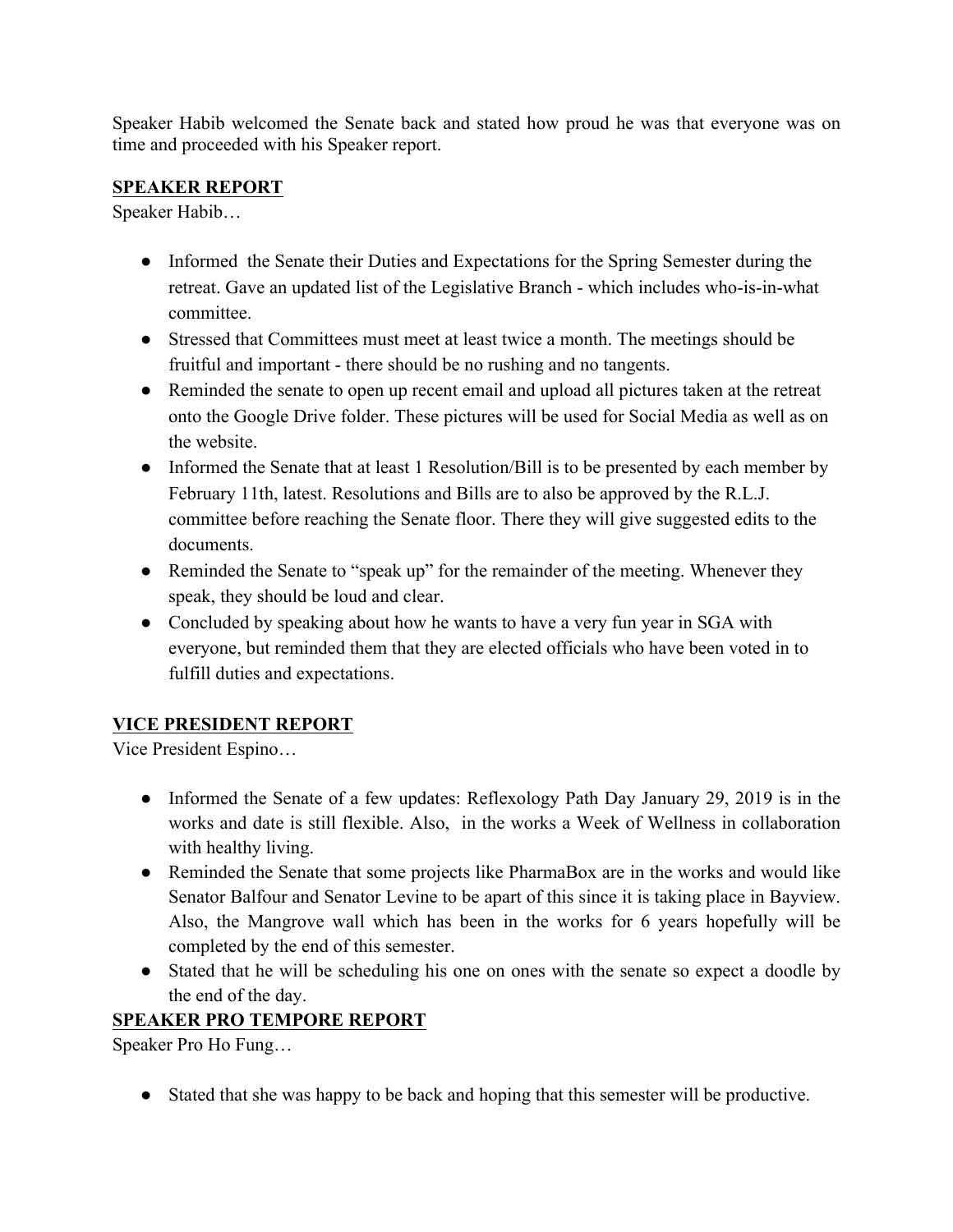Speaker Habib welcomed the Senate back and stated how proud he was that everyone was on time and proceeded with his Speaker report.

## **SPEAKER REPORT**

Speaker Habib…

- Informed the Senate their Duties and Expectations for the Spring Semester during the retreat. Gave an updated list of the Legislative Branch - which includes who-is-in-what committee.
- Stressed that Committees must meet at least twice a month. The meetings should be fruitful and important - there should be no rushing and no tangents.
- Reminded the senate to open up recent email and upload all pictures taken at the retreat onto the Google Drive folder. These pictures will be used for Social Media as well as on the website.
- Informed the Senate that at least 1 Resolution/Bill is to be presented by each member by February 11th, latest. Resolutions and Bills are to also be approved by the R.L.J. committee before reaching the Senate floor. There they will give suggested edits to the documents.
- Reminded the Senate to "speak up" for the remainder of the meeting. Whenever they speak, they should be loud and clear.
- Concluded by speaking about how he wants to have a very fun year in SGA with everyone, but reminded them that they are elected officials who have been voted in to fulfill duties and expectations.

## **VICE PRESIDENT REPORT**

Vice President Espino…

- Informed the Senate of a few updates: Reflexology Path Day January 29, 2019 is in the works and date is still flexible. Also, in the works a Week of Wellness in collaboration with healthy living.
- Reminded the Senate that some projects like PharmaBox are in the works and would like Senator Balfour and Senator Levine to be apart of this since it is taking place in Bayview. Also, the Mangrove wall which has been in the works for 6 years hopefully will be completed by the end of this semester.
- Stated that he will be scheduling his one on ones with the senate so expect a doodle by the end of the day.

## **SPEAKER PRO TEMPORE REPORT**

Speaker Pro Ho Fung…

● Stated that she was happy to be back and hoping that this semester will be productive.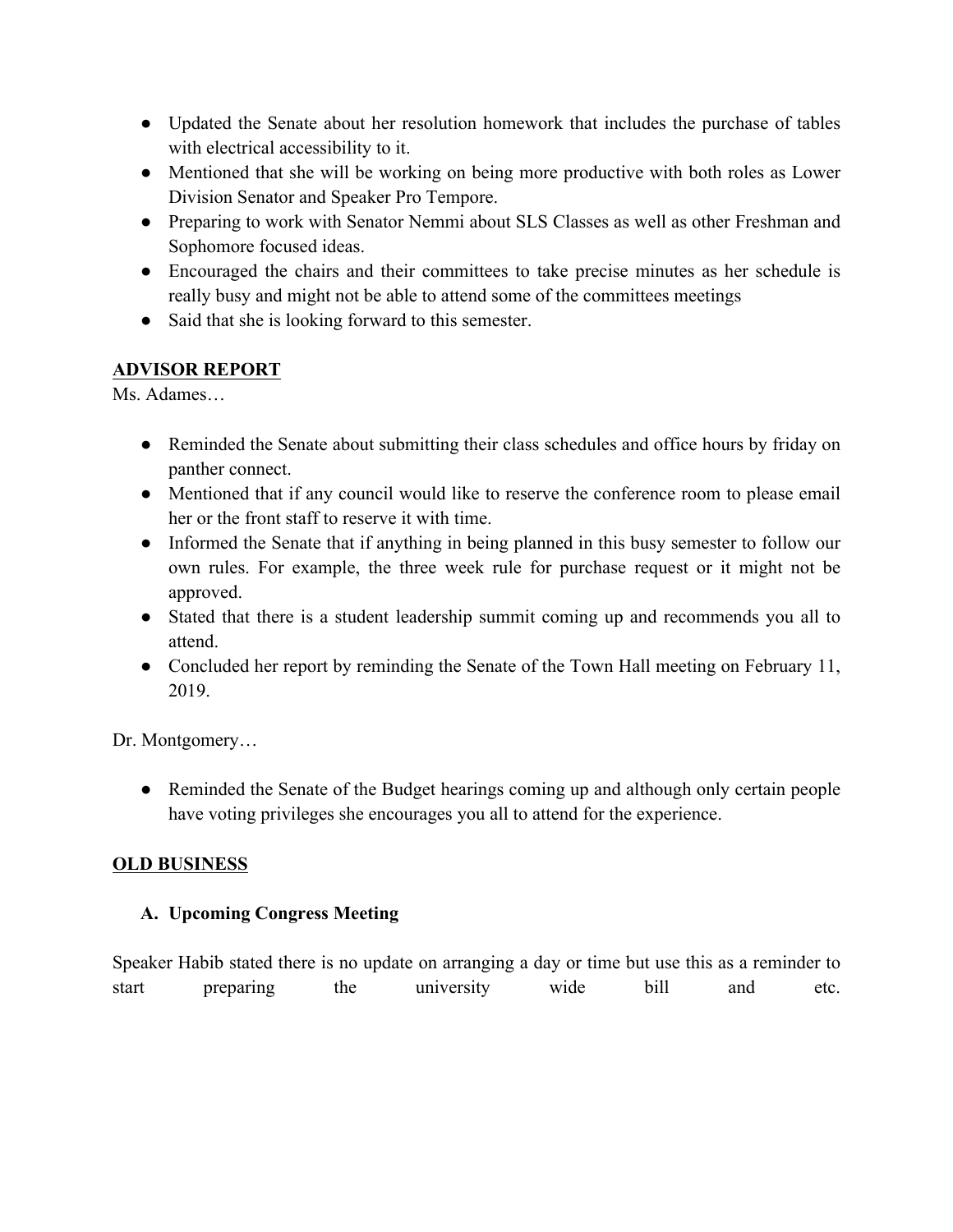- Updated the Senate about her resolution homework that includes the purchase of tables with electrical accessibility to it.
- Mentioned that she will be working on being more productive with both roles as Lower Division Senator and Speaker Pro Tempore.
- Preparing to work with Senator Nemmi about SLS Classes as well as other Freshman and Sophomore focused ideas.
- Encouraged the chairs and their committees to take precise minutes as her schedule is really busy and might not be able to attend some of the committees meetings
- Said that she is looking forward to this semester.

## **ADVISOR REPORT**

Ms. Adames…

- Reminded the Senate about submitting their class schedules and office hours by friday on panther connect.
- Mentioned that if any council would like to reserve the conference room to please email her or the front staff to reserve it with time.
- Informed the Senate that if anything in being planned in this busy semester to follow our own rules. For example, the three week rule for purchase request or it might not be approved.
- Stated that there is a student leadership summit coming up and recommends you all to attend.
- Concluded her report by reminding the Senate of the Town Hall meeting on February 11, 2019.

Dr. Montgomery…

• Reminded the Senate of the Budget hearings coming up and although only certain people have voting privileges she encourages you all to attend for the experience.

## **OLD BUSINESS**

## **A. Upcoming Congress Meeting**

Speaker Habib stated there is no update on arranging a day or time but use this as a reminder to start preparing the university wide bill and etc.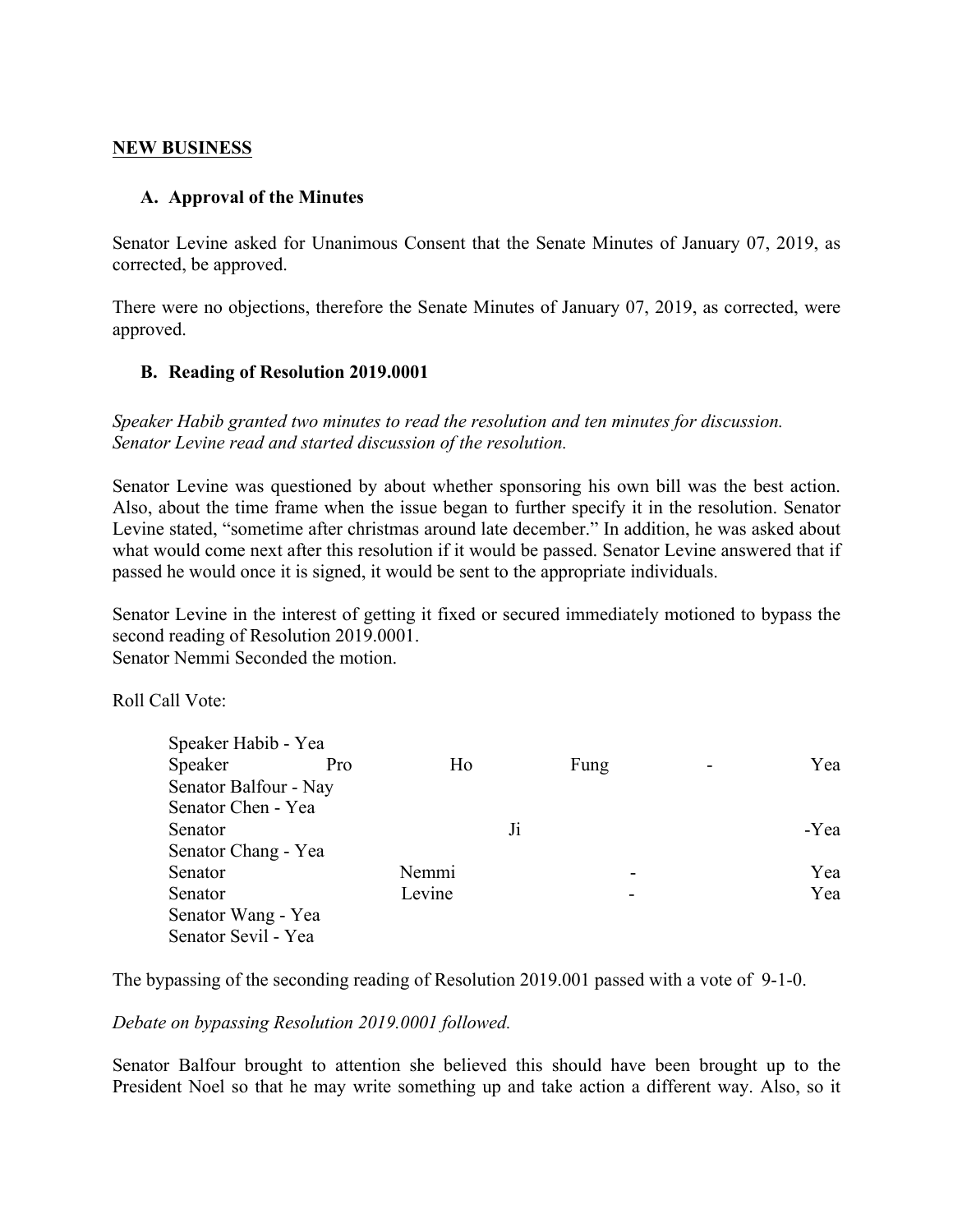#### **NEW BUSINESS**

#### **A. Approval of the Minutes**

Senator Levine asked for Unanimous Consent that the Senate Minutes of January 07, 2019, as corrected, be approved.

There were no objections, therefore the Senate Minutes of January 07, 2019, as corrected, were approved.

#### **B. Reading of Resolution 2019.0001**

*Speaker Habib granted two minutes to read the resolution and ten minutes for discussion. Senator Levine read and started discussion of the resolution.*

Senator Levine was questioned by about whether sponsoring his own bill was the best action. Also, about the time frame when the issue began to further specify it in the resolution. Senator Levine stated, "sometime after christmas around late december." In addition, he was asked about what would come next after this resolution if it would be passed. Senator Levine answered that if passed he would once it is signed, it would be sent to the appropriate individuals.

Senator Levine in the interest of getting it fixed or secured immediately motioned to bypass the second reading of Resolution 2019.0001. Senator Nemmi Seconded the motion.

Roll Call Vote:

| Speaker Habib - Yea   |     |        |    |      |      |
|-----------------------|-----|--------|----|------|------|
| Speaker               | Pro | Ho     |    | Fung | Yea  |
| Senator Balfour - Nay |     |        |    |      |      |
| Senator Chen - Yea    |     |        |    |      |      |
| Senator               |     |        | Ji |      | -Yea |
| Senator Chang - Yea   |     |        |    |      |      |
| Senator               |     | Nemmi  |    |      | Yea  |
| Senator               |     | Levine |    | -    | Yea  |
| Senator Wang - Yea    |     |        |    |      |      |
| Senator Sevil - Yea   |     |        |    |      |      |

The bypassing of the seconding reading of Resolution 2019.001 passed with a vote of 9-1-0.

*Debate on bypassing Resolution 2019.0001 followed.* 

Senator Balfour brought to attention she believed this should have been brought up to the President Noel so that he may write something up and take action a different way. Also, so it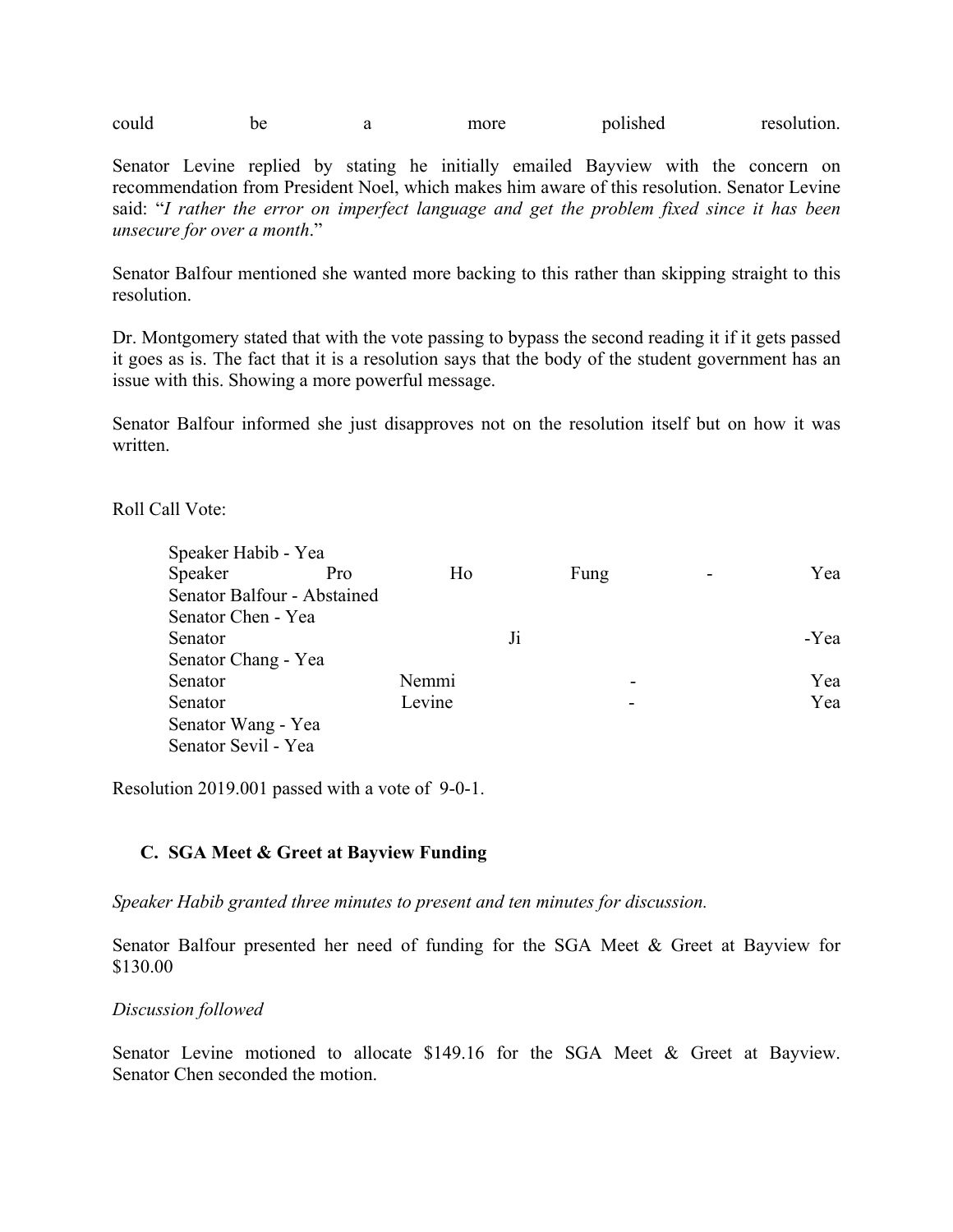could be a more polished resolution.

Senator Levine replied by stating he initially emailed Bayview with the concern on recommendation from President Noel, which makes him aware of this resolution. Senator Levine said: "*I rather the error on imperfect language and get the problem fixed since it has been unsecure for over a month*."

Senator Balfour mentioned she wanted more backing to this rather than skipping straight to this resolution.

Dr. Montgomery stated that with the vote passing to bypass the second reading it if it gets passed it goes as is. The fact that it is a resolution says that the body of the student government has an issue with this. Showing a more powerful message.

Senator Balfour informed she just disapproves not on the resolution itself but on how it was written.

Roll Call Vote:

| Speaker Habib - Yea         |     |        |    |                          |      |
|-----------------------------|-----|--------|----|--------------------------|------|
| Speaker                     | Pro | Ho     |    | Fung                     | Yea  |
| Senator Balfour - Abstained |     |        |    |                          |      |
| Senator Chen - Yea          |     |        |    |                          |      |
| Senator                     |     |        | Ji |                          | -Yea |
| Senator Chang - Yea         |     |        |    |                          |      |
| Senator                     |     | Nemmi  |    | $\overline{\phantom{0}}$ | Yea  |
| Senator                     |     | Levine |    |                          | Yea  |
| Senator Wang - Yea          |     |        |    |                          |      |
| Senator Sevil - Yea         |     |        |    |                          |      |

Resolution 2019.001 passed with a vote of 9-0-1.

#### **C. SGA Meet & Greet at Bayview Funding**

*Speaker Habib granted three minutes to present and ten minutes for discussion.* 

Senator Balfour presented her need of funding for the SGA Meet & Greet at Bayview for \$130.00

*Discussion followed*

Senator Levine motioned to allocate \$149.16 for the SGA Meet & Greet at Bayview. Senator Chen seconded the motion.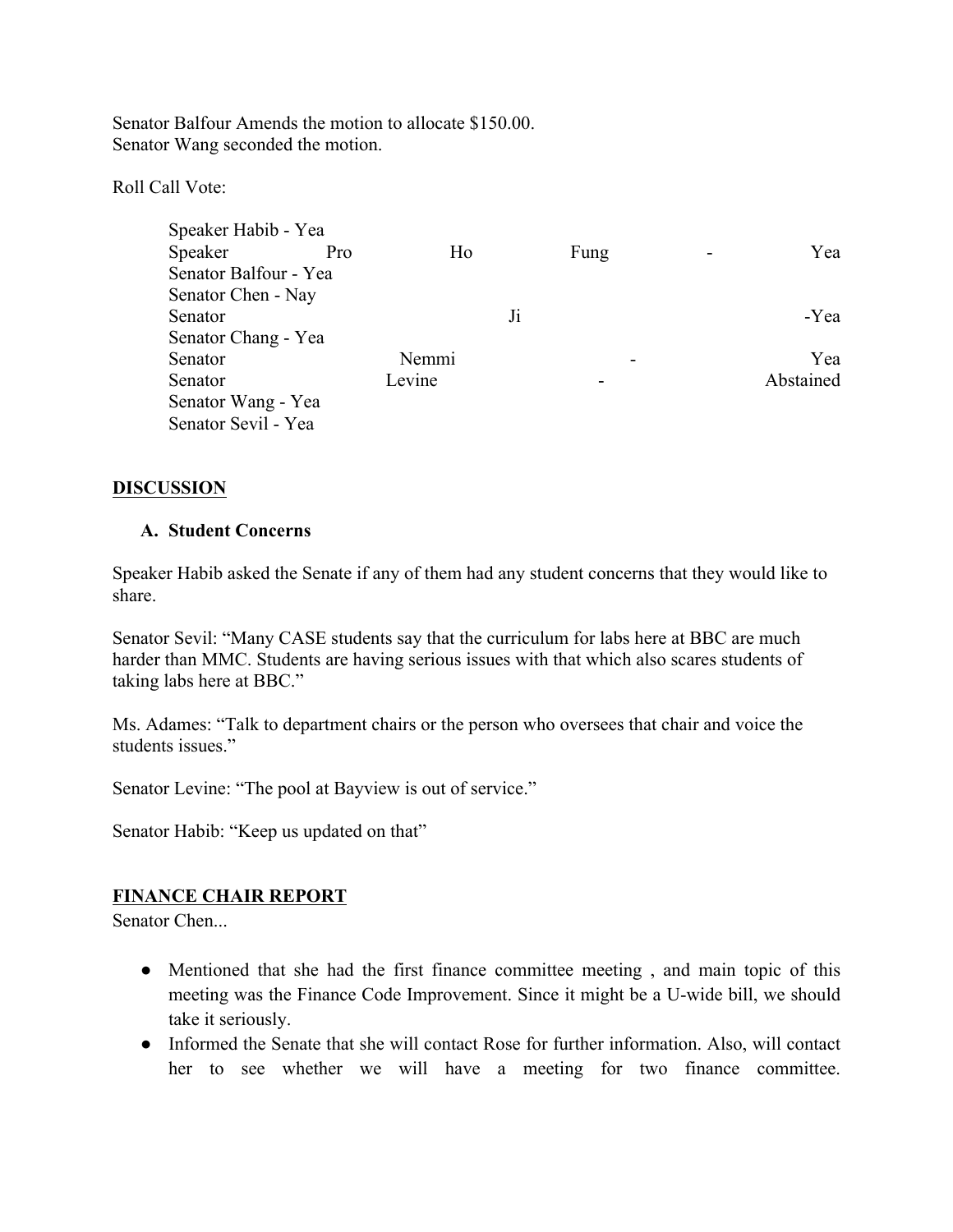Senator Balfour Amends the motion to allocate \$150.00. Senator Wang seconded the motion.

Roll Call Vote:

| Speaker Habib - Yea   |     |        |    |      |           |
|-----------------------|-----|--------|----|------|-----------|
| Speaker               | Pro | Ho     |    | Fung | Yea       |
| Senator Balfour - Yea |     |        |    |      |           |
| Senator Chen - Nay    |     |        |    |      |           |
| Senator               |     |        | Ji |      | -Yea      |
| Senator Chang - Yea   |     |        |    |      |           |
| Senator               |     | Nemmi  |    |      | Yea       |
| Senator               |     | Levine |    |      | Abstained |
| Senator Wang - Yea    |     |        |    |      |           |
| Senator Sevil - Yea   |     |        |    |      |           |

#### **DISCUSSION**

#### **A. Student Concerns**

Speaker Habib asked the Senate if any of them had any student concerns that they would like to share.

Senator Sevil: "Many CASE students say that the curriculum for labs here at BBC are much harder than MMC. Students are having serious issues with that which also scares students of taking labs here at BBC."

Ms. Adames: "Talk to department chairs or the person who oversees that chair and voice the students issues."

Senator Levine: "The pool at Bayview is out of service."

Senator Habib: "Keep us updated on that"

#### **FINANCE CHAIR REPORT**

Senator Chen...

- Mentioned that she had the first finance committee meeting, and main topic of this meeting was the Finance Code Improvement. Since it might be a U-wide bill, we should take it seriously.
- Informed the Senate that she will contact Rose for further information. Also, will contact her to see whether we will have a meeting for two finance committee.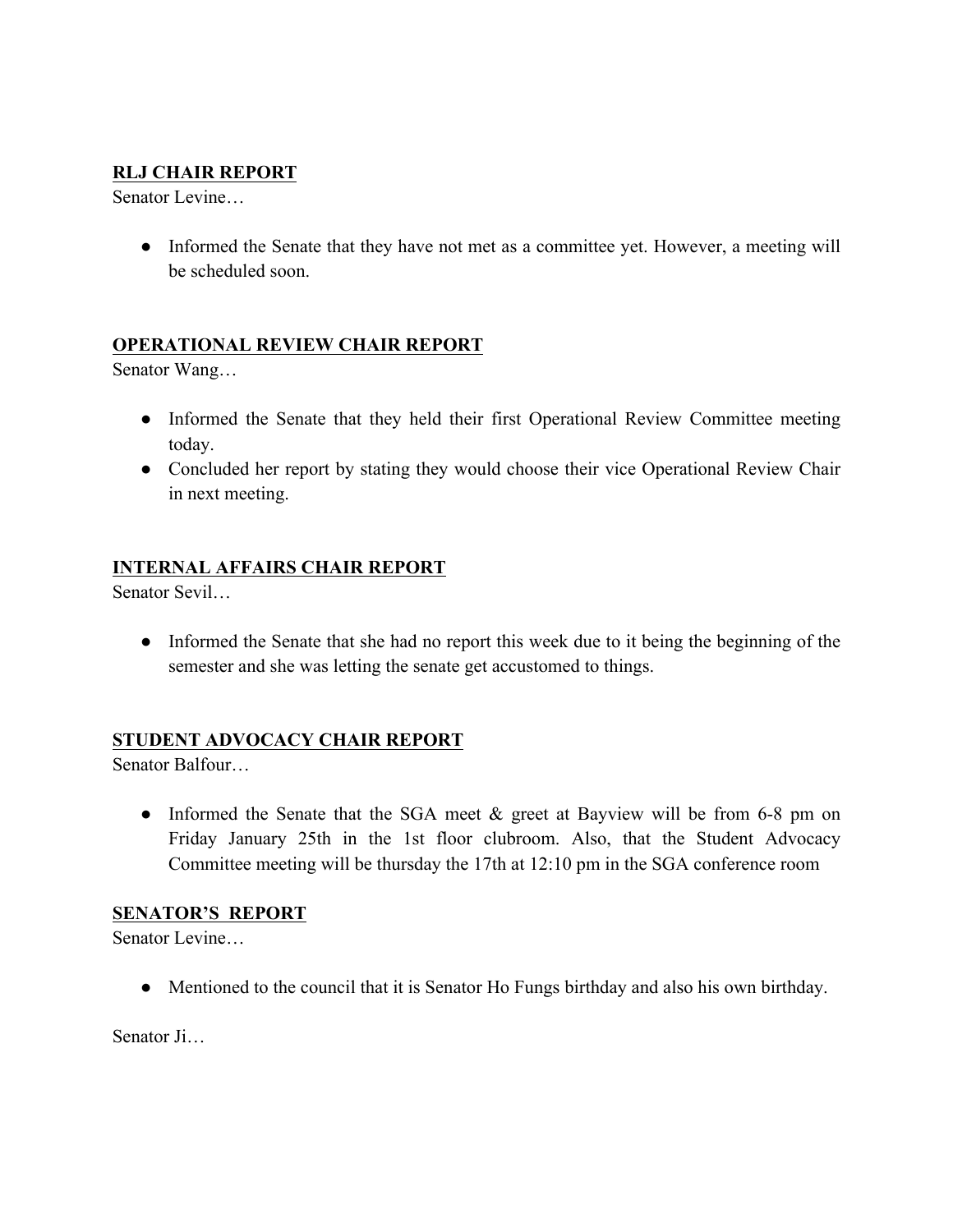## **RLJ CHAIR REPORT**

Senator Levine…

• Informed the Senate that they have not met as a committee yet. However, a meeting will be scheduled soon.

#### **OPERATIONAL REVIEW CHAIR REPORT**

Senator Wang…

- Informed the Senate that they held their first Operational Review Committee meeting today.
- Concluded her report by stating they would choose their vice Operational Review Chair in next meeting.

## **INTERNAL AFFAIRS CHAIR REPORT**

Senator Sevil…

• Informed the Senate that she had no report this week due to it being the beginning of the semester and she was letting the senate get accustomed to things.

#### **STUDENT ADVOCACY CHAIR REPORT**

Senator Balfour…

• Informed the Senate that the SGA meet & greet at Bayview will be from 6-8 pm on Friday January 25th in the 1st floor clubroom. Also, that the Student Advocacy Committee meeting will be thursday the 17th at 12:10 pm in the SGA conference room

#### **SENATOR'S REPORT**

Senator Levine…

● Mentioned to the council that it is Senator Ho Fungs birthday and also his own birthday.

Senator Ji…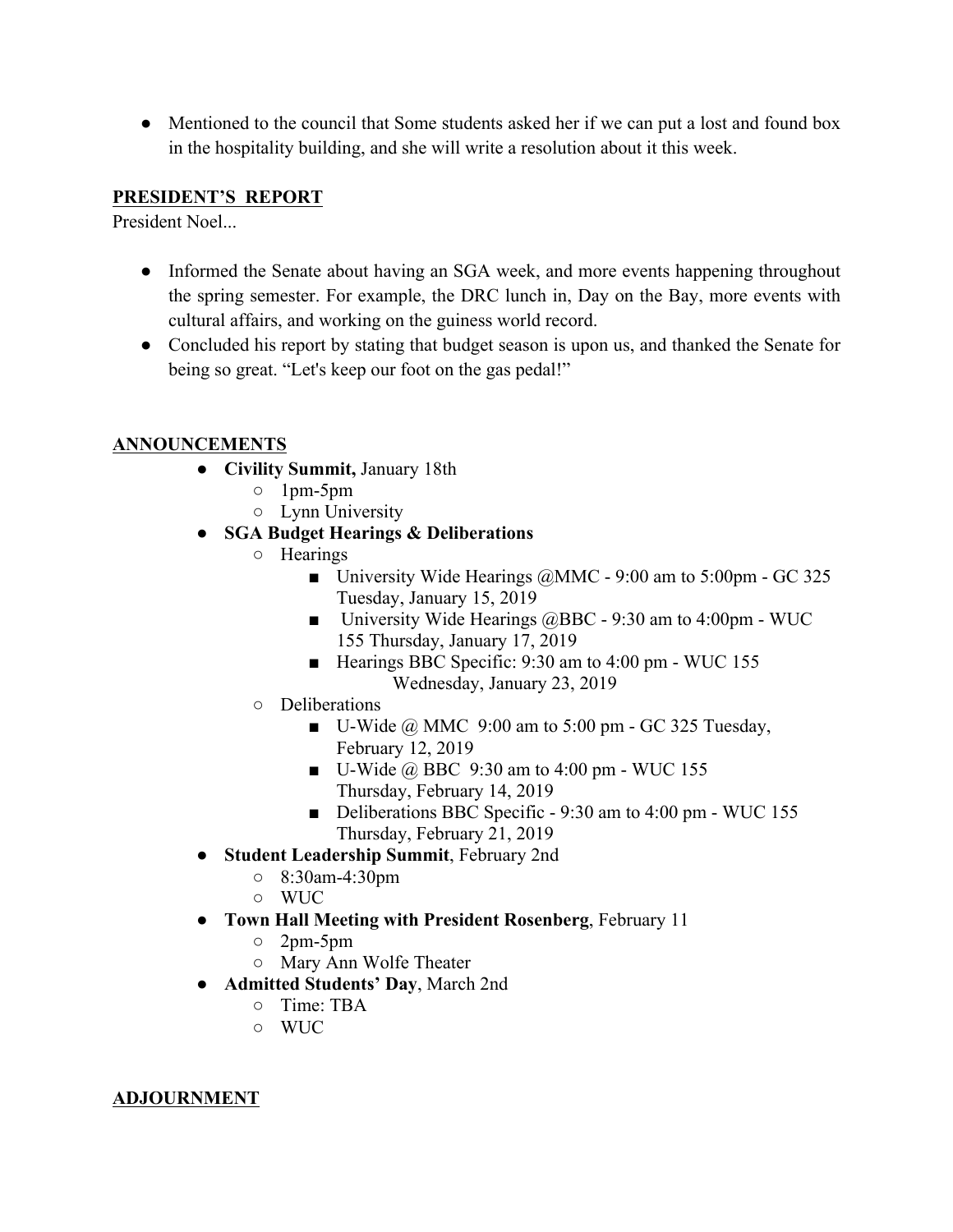• Mentioned to the council that Some students asked her if we can put a lost and found box in the hospitality building, and she will write a resolution about it this week.

#### **PRESIDENT'S REPORT**

President Noel...

- Informed the Senate about having an SGA week, and more events happening throughout the spring semester. For example, the DRC lunch in, Day on the Bay, more events with cultural affairs, and working on the guiness world record.
- Concluded his report by stating that budget season is upon us, and thanked the Senate for being so great. "Let's keep our foot on the gas pedal!"

## **ANNOUNCEMENTS**

- **Civility Summit,** January 18th
	- 1pm-5pm
	- Lynn University

## ● **SGA Budget Hearings & Deliberations**

- Hearings
	- **University Wide Hearings**  $\omega$  **MMC 9:00 am to 5:00pm GC 325** Tuesday, January 15, 2019
	- University Wide Hearings @BBC 9:30 am to 4:00pm WUC 155 Thursday, January 17, 2019
	- Hearings BBC Specific: 9:30 am to 4:00 pm WUC 155 Wednesday, January 23, 2019
- Deliberations
	- U-Wide  $@$  MMC 9:00 am to 5:00 pm GC 325 Tuesday, February 12, 2019
	- $\blacksquare$  U-Wide @ BBC 9:30 am to 4:00 pm WUC 155 Thursday, February 14, 2019
	- Deliberations BBC Specific 9:30 am to 4:00 pm WUC 155 Thursday, February 21, 2019
- **Student Leadership Summit**, February 2nd
	- 8:30am-4:30pm
	- WUC
- **Town Hall Meeting with President Rosenberg**, February 11
	- 2pm-5pm
	- Mary Ann Wolfe Theater
- **Admitted Students' Day**, March 2nd
	- Time: TBA
	- WUC

#### **ADJOURNMENT**